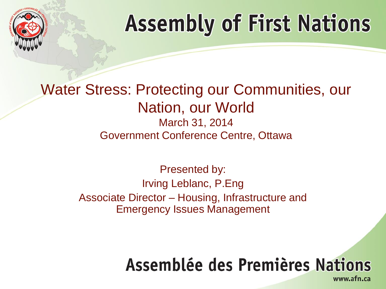

#### Water Stress: Protecting our Communities, our Nation, our World

#### March 31, 2014 Government Conference Centre, Ottawa

Presented by: Irving Leblanc, P.Eng Associate Director – Housing, Infrastructure and Emergency Issues Management

### Assemblée des Premières Nations

www.afn.ca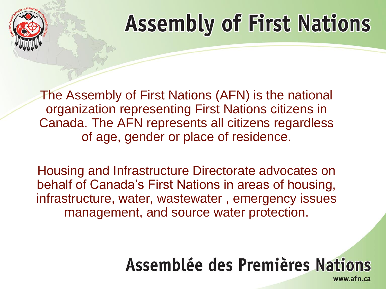

The Assembly of First Nations (AFN) is the national organization representing First Nations citizens in Canada. The AFN represents all citizens regardless of age, gender or place of residence.

Housing and Infrastructure Directorate advocates on behalf of Canada's First Nations in areas of housing, infrastructure, water, wastewater , emergency issues management, and source water protection.

### Assemblée des Premières Nations

www.afn.ca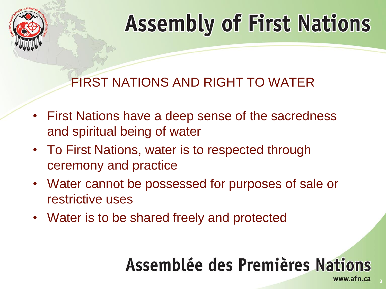

#### FIRST NATIONS AND RIGHT TO WATER

- First Nations have a deep sense of the sacredness and spiritual being of water
- To First Nations, water is to respected through ceremony and practice
- Water cannot be possessed for purposes of sale or restrictive uses
- Water is to be shared freely and protected

### Assemblée des Premières Nations

**3**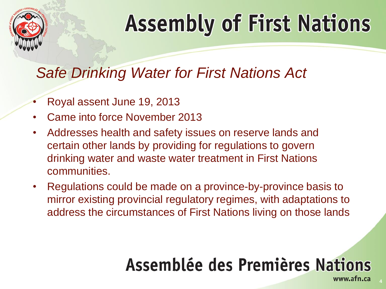

#### *Safe Drinking Water for First Nations Act*

- Royal assent June 19, 2013
- Came into force November 2013
- Addresses health and safety issues on reserve lands and certain other lands by providing for regulations to govern drinking water and waste water treatment in First Nations communities.
- Regulations could be made on a province-by-province basis to mirror existing provincial regulatory regimes, with adaptations to address the circumstances of First Nations living on those lands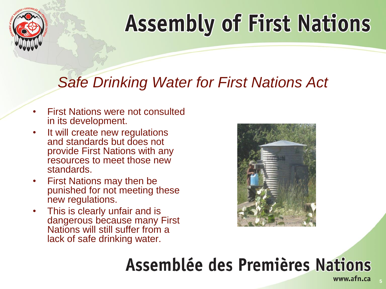

#### *Safe Drinking Water for First Nations Act*

- First Nations were not consulted in its development.
- It will create new regulations and standards but does not provide First Nations with any resources to meet those new standards.
- First Nations may then be punished for not meeting these new regulations.
- This is clearly unfair and is dangerous because many First Nations will still suffer from a lack of safe drinking water.

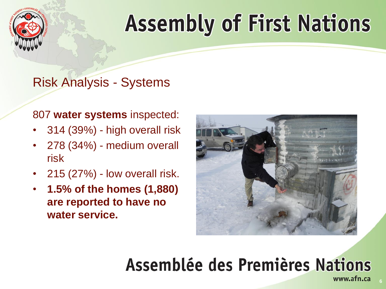

#### Risk Analysis - Systems

#### 807 **water systems** inspected:

- 314 (39%) high overall risk
- 278 (34%) medium overall risk
- $\cdot$  215 (27%) low overall risk.
- **1.5% of the homes (1,880) are reported to have no water service.**

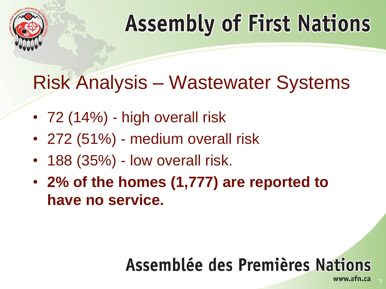

### Risk Analysis – Wastewater Systems

- 72 (14%) high overall risk
- 272 (51%) medium overall risk
- 188 (35%) low overall risk.
- **2% of the homes (1,777) are reported to have no service.**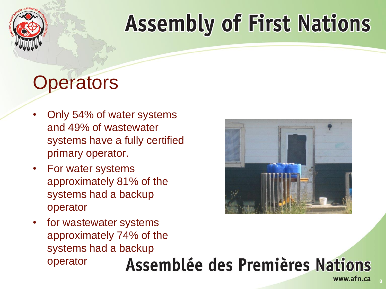

## **Operators**

- Only 54% of water systems and 49% of wastewater systems have a fully certified primary operator.
- For water systems approximately 81% of the systems had a backup operator
- for wastewater systems approximately 74% of the systems had a backup operator



**8**

www.afn.ca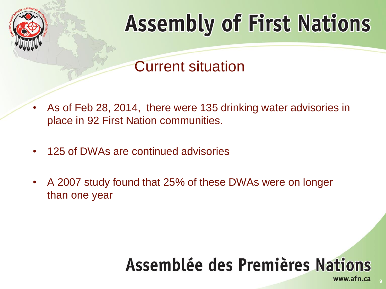

Current situation

- As of Feb 28, 2014, there were 135 drinking water advisories in place in 92 First Nation communities.
- 125 of DWAs are continued advisories
- A 2007 study found that 25% of these DWAs were on longer than one year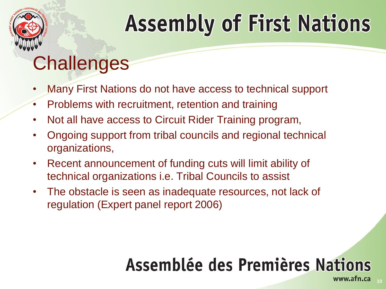

### **Challenges**

- Many First Nations do not have access to technical support
- Problems with recruitment, retention and training
- Not all have access to Circuit Rider Training program,
- Ongoing support from tribal councils and regional technical organizations,
- Recent announcement of funding cuts will limit ability of technical organizations i.e. Tribal Councils to assist
- The obstacle is seen as inadequate resources, not lack of regulation (Expert panel report 2006)